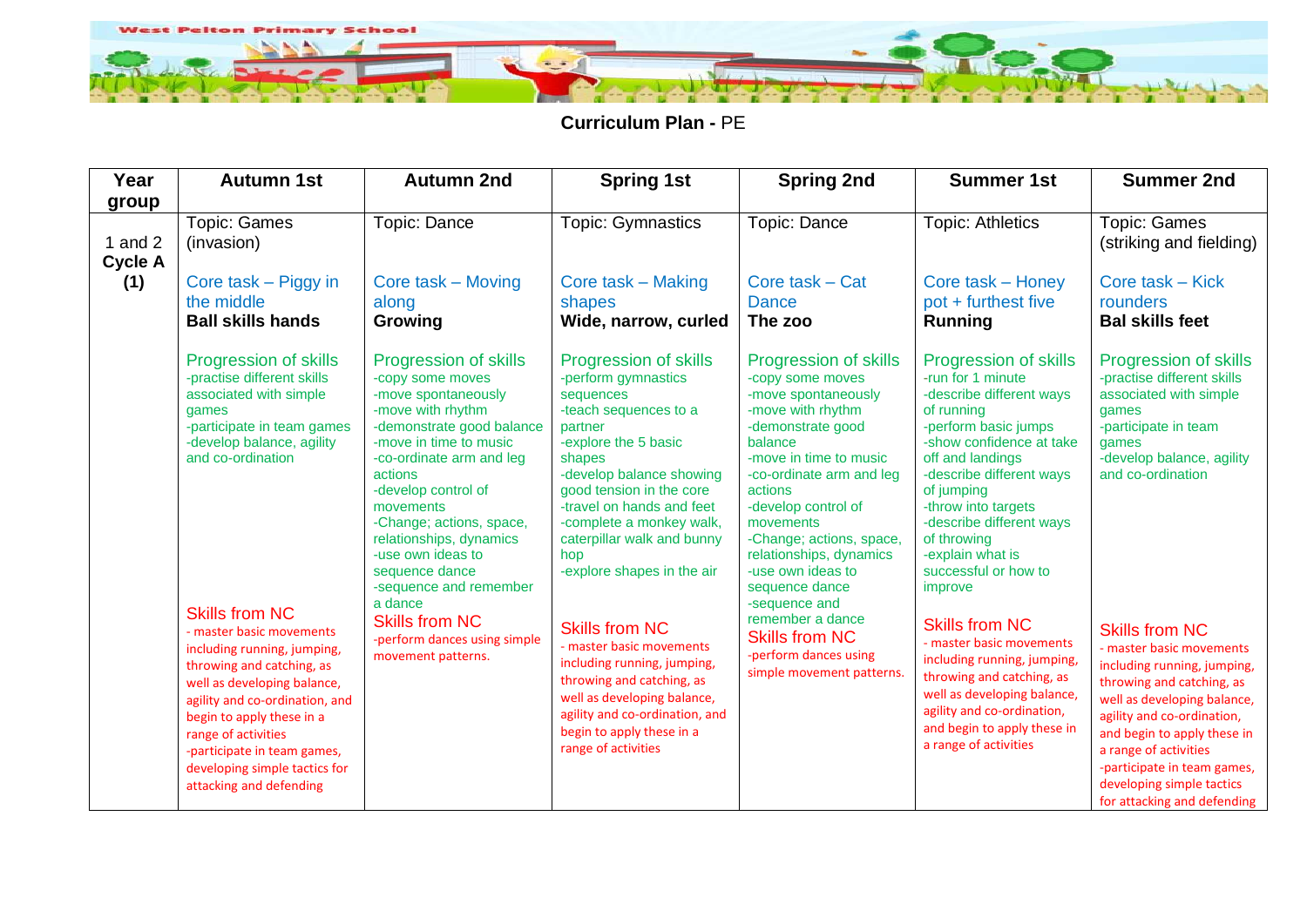

**Curriculum Plan -** PE

| Year                        | <b>Autumn 1st</b>                                                                                                                                                                                                                                                                                                                                                                                                                                                                                       | <b>Autumn 2nd</b>                                                                                                                                                                                                                                                                                                                                                                                                                         | <b>Spring 1st</b>                                                                                                                                                                                                                                                                                                                                                                                                                                                                                                                                                | <b>Spring 2nd</b>                                                                                                                                                                                                                                                                                                                                                                                                                            | <b>Summer 1st</b>                                                                                                                                                                                                                                                                                                                                                                                                                                                                                                                                                     | <b>Summer 2nd</b>                                                                                                                                                                                                                                                                                                                                                                                                                                                                                                 |
|-----------------------------|---------------------------------------------------------------------------------------------------------------------------------------------------------------------------------------------------------------------------------------------------------------------------------------------------------------------------------------------------------------------------------------------------------------------------------------------------------------------------------------------------------|-------------------------------------------------------------------------------------------------------------------------------------------------------------------------------------------------------------------------------------------------------------------------------------------------------------------------------------------------------------------------------------------------------------------------------------------|------------------------------------------------------------------------------------------------------------------------------------------------------------------------------------------------------------------------------------------------------------------------------------------------------------------------------------------------------------------------------------------------------------------------------------------------------------------------------------------------------------------------------------------------------------------|----------------------------------------------------------------------------------------------------------------------------------------------------------------------------------------------------------------------------------------------------------------------------------------------------------------------------------------------------------------------------------------------------------------------------------------------|-----------------------------------------------------------------------------------------------------------------------------------------------------------------------------------------------------------------------------------------------------------------------------------------------------------------------------------------------------------------------------------------------------------------------------------------------------------------------------------------------------------------------------------------------------------------------|-------------------------------------------------------------------------------------------------------------------------------------------------------------------------------------------------------------------------------------------------------------------------------------------------------------------------------------------------------------------------------------------------------------------------------------------------------------------------------------------------------------------|
| group                       |                                                                                                                                                                                                                                                                                                                                                                                                                                                                                                         |                                                                                                                                                                                                                                                                                                                                                                                                                                           |                                                                                                                                                                                                                                                                                                                                                                                                                                                                                                                                                                  |                                                                                                                                                                                                                                                                                                                                                                                                                                              |                                                                                                                                                                                                                                                                                                                                                                                                                                                                                                                                                                       |                                                                                                                                                                                                                                                                                                                                                                                                                                                                                                                   |
| 1 and $2$<br><b>Cycle A</b> | <b>Topic: Games</b><br>(invasion)                                                                                                                                                                                                                                                                                                                                                                                                                                                                       | Topic: Dance                                                                                                                                                                                                                                                                                                                                                                                                                              | <b>Topic: Gymnastics</b>                                                                                                                                                                                                                                                                                                                                                                                                                                                                                                                                         | Topic: Dance                                                                                                                                                                                                                                                                                                                                                                                                                                 | <b>Topic: Athletics</b>                                                                                                                                                                                                                                                                                                                                                                                                                                                                                                                                               | <b>Topic: Games</b><br>(striking and fielding)                                                                                                                                                                                                                                                                                                                                                                                                                                                                    |
| (1)                         | Core task – Piggy in<br>the middle<br><b>Ball skills hands</b>                                                                                                                                                                                                                                                                                                                                                                                                                                          | Core task – Moving<br>along<br>Growing                                                                                                                                                                                                                                                                                                                                                                                                    | Core task – Making<br>shapes<br>Wide, narrow, curled                                                                                                                                                                                                                                                                                                                                                                                                                                                                                                             | Core task – Cat<br><b>Dance</b><br>The zoo                                                                                                                                                                                                                                                                                                                                                                                                   | Core task - Honey<br>pot + furthest five<br><b>Running</b>                                                                                                                                                                                                                                                                                                                                                                                                                                                                                                            | Core task – Kick<br>rounders<br><b>Bal skills feet</b>                                                                                                                                                                                                                                                                                                                                                                                                                                                            |
|                             | Progression of skills<br>-practise different skills<br>associated with simple<br>qames<br>-participate in team games<br>-develop balance, agility<br>and co-ordination<br><b>Skills from NC</b><br>- master basic movements<br>including running, jumping,<br>throwing and catching, as<br>well as developing balance,<br>agility and co-ordination, and<br>begin to apply these in a<br>range of activities<br>-participate in team games,<br>developing simple tactics for<br>attacking and defending | Progression of skills<br>-copy some moves<br>-move spontaneously<br>-move with rhythm<br>-demonstrate good balance<br>-move in time to music<br>-co-ordinate arm and leg<br>actions<br>-develop control of<br>movements<br>-Change; actions, space,<br>relationships, dynamics<br>-use own ideas to<br>sequence dance<br>-sequence and remember<br>a dance<br><b>Skills from NC</b><br>-perform dances using simple<br>movement patterns. | <b>Progression of skills</b><br>-perform gymnastics<br>sequences<br>-teach sequences to a<br>partner<br>-explore the 5 basic<br>shapes<br>-develop balance showing<br>good tension in the core<br>-travel on hands and feet<br>-complete a monkey walk,<br>caterpillar walk and bunny<br>hop<br>-explore shapes in the air<br><b>Skills from NC</b><br>- master basic movements<br>including running, jumping,<br>throwing and catching, as<br>well as developing balance,<br>agility and co-ordination, and<br>begin to apply these in a<br>range of activities | Progression of skills<br>-copy some moves<br>-move spontaneously<br>-move with rhythm<br>-demonstrate good<br>balance<br>-move in time to music<br>-co-ordinate arm and leg<br>actions<br>-develop control of<br>movements<br>-Change; actions, space,<br>relationships, dynamics<br>-use own ideas to<br>sequence dance<br>-sequence and<br>remember a dance<br><b>Skills from NC</b><br>-perform dances using<br>simple movement patterns. | Progression of skills<br>-run for 1 minute<br>-describe different ways<br>of running<br>-perform basic jumps<br>-show confidence at take<br>off and landings<br>-describe different ways<br>of jumping<br>-throw into targets<br>-describe different ways<br>of throwing<br>-explain what is<br>successful or how to<br>improve<br><b>Skills from NC</b><br>- master basic movements<br>including running, jumping,<br>throwing and catching, as<br>well as developing balance,<br>agility and co-ordination,<br>and begin to apply these in<br>a range of activities | <b>Progression of skills</b><br>-practise different skills<br>associated with simple<br>games<br>-participate in team<br>games<br>-develop balance, agility<br>and co-ordination<br><b>Skills from NC</b><br>- master basic movements<br>including running, jumping,<br>throwing and catching, as<br>well as developing balance,<br>agility and co-ordination,<br>and begin to apply these in<br>a range of activities<br>-participate in team games,<br>developing simple tactics<br>for attacking and defending |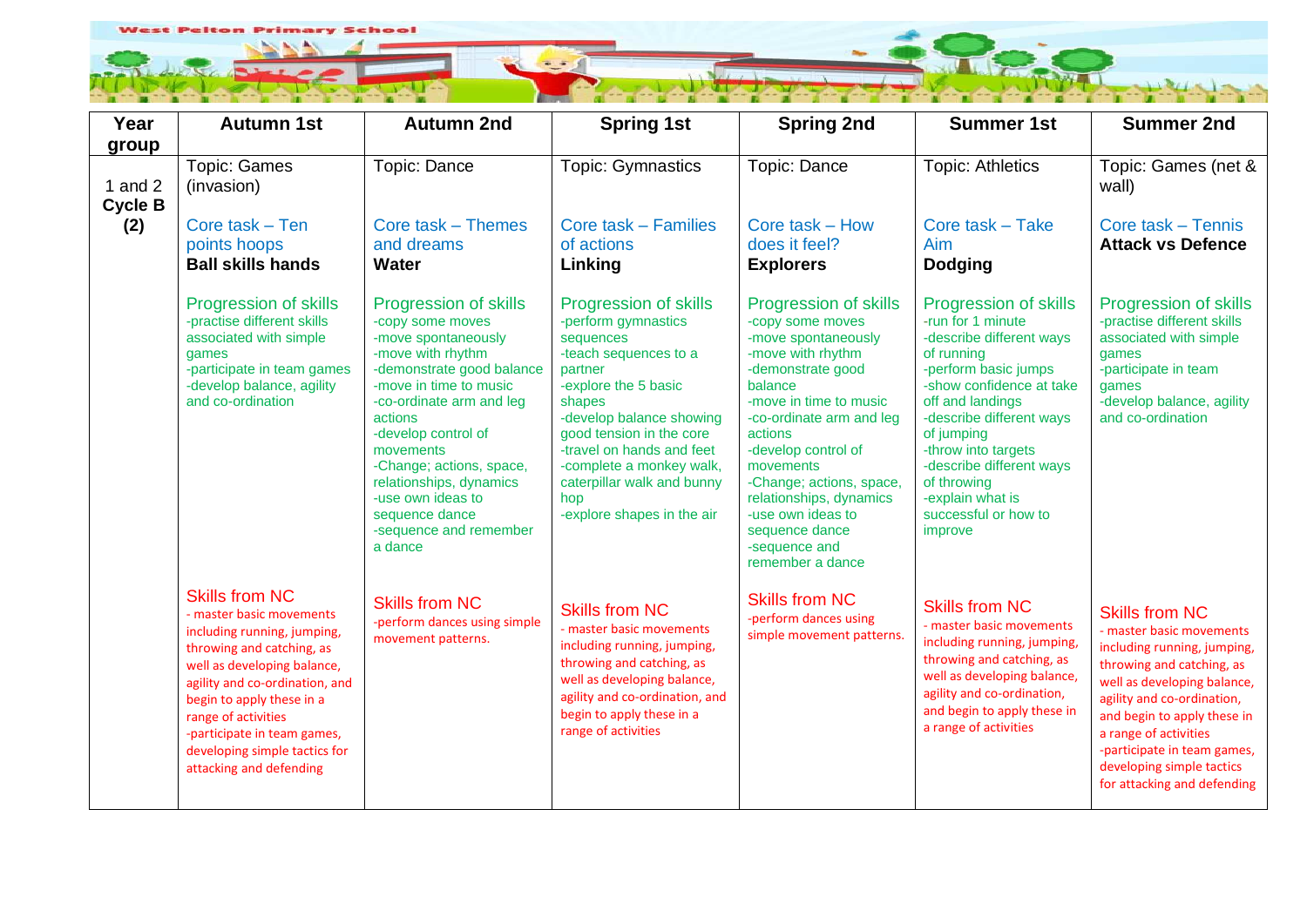

| Year                                 | <b>Autumn 1st</b>                                                                                                                                                                                                                                                                                                             | <b>Autumn 2nd</b>                                                                                                                                                                                                                                                                                                                                          | <b>Spring 1st</b>                                                                                                                                                                                                                                                                                                   | <b>Spring 2nd</b>                                                                                                                                                                                                                                                                                                                                             | <b>Summer 1st</b>                                                                                                                                                                                                                                                                                                               | <b>Summer 2nd</b>                                                                                                                                                                                                                                                                                                             |
|--------------------------------------|-------------------------------------------------------------------------------------------------------------------------------------------------------------------------------------------------------------------------------------------------------------------------------------------------------------------------------|------------------------------------------------------------------------------------------------------------------------------------------------------------------------------------------------------------------------------------------------------------------------------------------------------------------------------------------------------------|---------------------------------------------------------------------------------------------------------------------------------------------------------------------------------------------------------------------------------------------------------------------------------------------------------------------|---------------------------------------------------------------------------------------------------------------------------------------------------------------------------------------------------------------------------------------------------------------------------------------------------------------------------------------------------------------|---------------------------------------------------------------------------------------------------------------------------------------------------------------------------------------------------------------------------------------------------------------------------------------------------------------------------------|-------------------------------------------------------------------------------------------------------------------------------------------------------------------------------------------------------------------------------------------------------------------------------------------------------------------------------|
| group<br>1 and $2$<br><b>Cycle B</b> | <b>Topic: Games</b><br>(invasion)                                                                                                                                                                                                                                                                                             | Topic: Dance                                                                                                                                                                                                                                                                                                                                               | <b>Topic: Gymnastics</b>                                                                                                                                                                                                                                                                                            | Topic: Dance                                                                                                                                                                                                                                                                                                                                                  | <b>Topic: Athletics</b>                                                                                                                                                                                                                                                                                                         | Topic: Games (net &<br>wall)                                                                                                                                                                                                                                                                                                  |
| (2)                                  | Core task - Ten<br>points hoops<br><b>Ball skills hands</b>                                                                                                                                                                                                                                                                   | Core task - Themes<br>and dreams<br><b>Water</b>                                                                                                                                                                                                                                                                                                           | <b>Core task - Families</b><br>of actions<br>Linking                                                                                                                                                                                                                                                                | Core task - How<br>does it feel?<br><b>Explorers</b>                                                                                                                                                                                                                                                                                                          | Core task - Take<br>Aim<br><b>Dodging</b>                                                                                                                                                                                                                                                                                       | Core task - Tennis<br><b>Attack vs Defence</b>                                                                                                                                                                                                                                                                                |
|                                      | Progression of skills<br>-practise different skills<br>associated with simple<br>qames<br>-participate in team games<br>-develop balance, agility<br>and co-ordination                                                                                                                                                        | Progression of skills<br>-copy some moves<br>-move spontaneously<br>-move with rhythm<br>-demonstrate good balance<br>-move in time to music<br>-co-ordinate arm and leg<br>actions<br>-develop control of<br>movements<br>-Change; actions, space,<br>relationships, dynamics<br>-use own ideas to<br>sequence dance<br>-sequence and remember<br>a dance | Progression of skills<br>-perform gymnastics<br>sequences<br>-teach sequences to a<br>partner<br>-explore the 5 basic<br>shapes<br>-develop balance showing<br>good tension in the core<br>-travel on hands and feet<br>-complete a monkey walk,<br>caterpillar walk and bunny<br>hop<br>-explore shapes in the air | Progression of skills<br>-copy some moves<br>-move spontaneously<br>-move with rhythm<br>-demonstrate good<br>balance<br>-move in time to music<br>-co-ordinate arm and leg<br>actions<br>-develop control of<br>movements<br>-Change; actions, space,<br>relationships, dynamics<br>-use own ideas to<br>sequence dance<br>-sequence and<br>remember a dance | Progression of skills<br>-run for 1 minute<br>-describe different ways<br>of running<br>-perform basic jumps<br>-show confidence at take<br>off and landings<br>-describe different ways<br>of jumping<br>-throw into targets<br>-describe different ways<br>of throwing<br>-explain what is<br>successful or how to<br>improve | Progression of skills<br>-practise different skills<br>associated with simple<br>games<br>-participate in team<br>games<br>-develop balance, agility<br>and co-ordination                                                                                                                                                     |
|                                      | <b>Skills from NC</b><br>- master basic movements<br>including running, jumping,<br>throwing and catching, as<br>well as developing balance,<br>agility and co-ordination, and<br>begin to apply these in a<br>range of activities<br>-participate in team games,<br>developing simple tactics for<br>attacking and defending | <b>Skills from NC</b><br>-perform dances using simple<br>movement patterns.                                                                                                                                                                                                                                                                                | <b>Skills from NC</b><br>- master basic movements<br>including running, jumping,<br>throwing and catching, as<br>well as developing balance,<br>agility and co-ordination, and<br>begin to apply these in a<br>range of activities                                                                                  | <b>Skills from NC</b><br>-perform dances using<br>simple movement patterns.                                                                                                                                                                                                                                                                                   | <b>Skills from NC</b><br>- master basic movements<br>including running, jumping,<br>throwing and catching, as<br>well as developing balance,<br>agility and co-ordination,<br>and begin to apply these in<br>a range of activities                                                                                              | <b>Skills from NC</b><br>- master basic movements<br>including running, jumping,<br>throwing and catching, as<br>well as developing balance,<br>agility and co-ordination,<br>and begin to apply these in<br>a range of activities<br>-participate in team games,<br>developing simple tactics<br>for attacking and defending |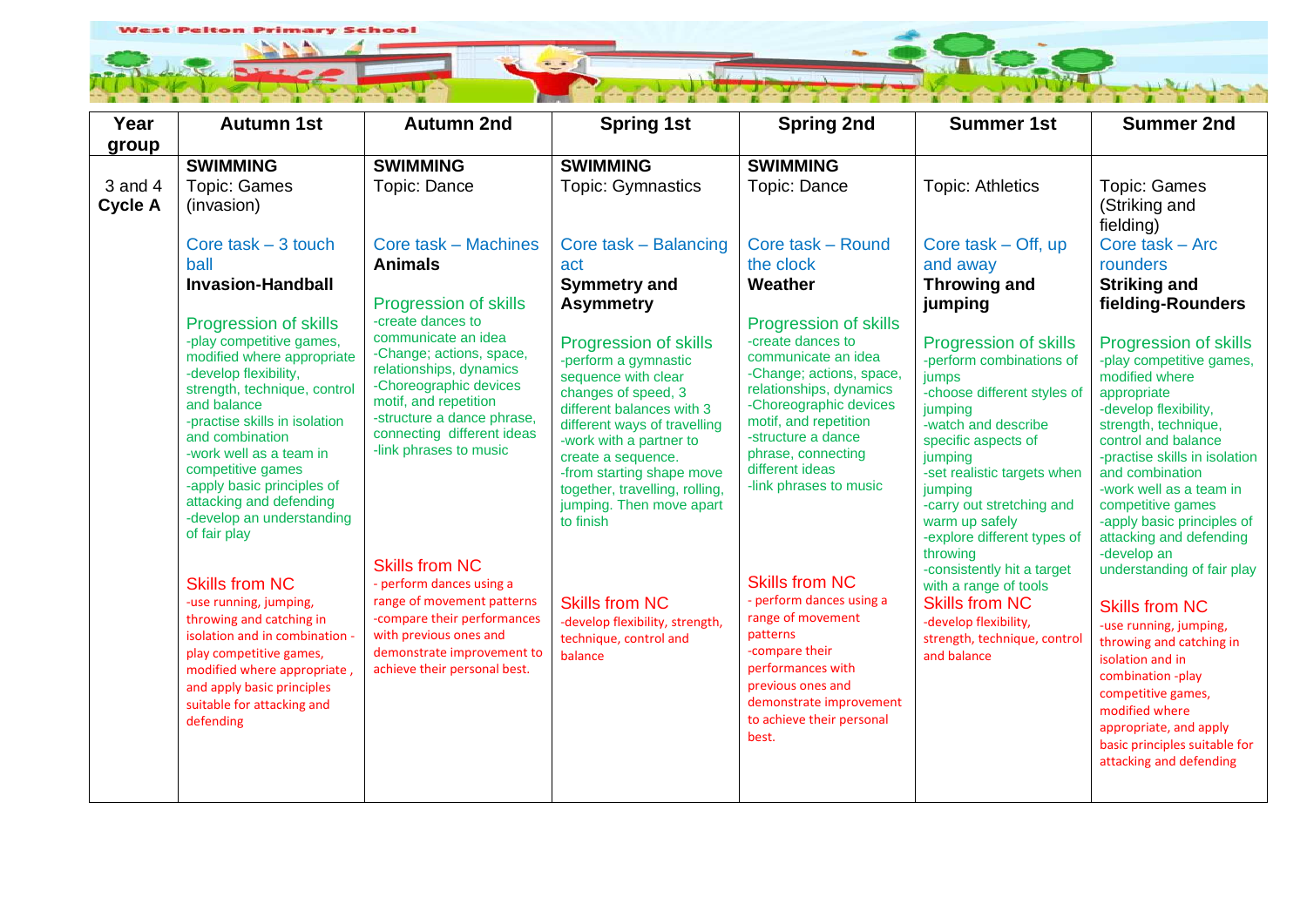

| Year                      | <b>Autumn 1st</b>                                                                                                                                                                                                                                                                                                                                                        | <b>Autumn 2nd</b>                                                                                                                                                                                                                        | <b>Spring 1st</b>                                                                                                                                                                                                                                                                                                 | <b>Spring 2nd</b>                                                                                                                                                                                                                                                           | <b>Summer 1st</b>                                                                                                                                                                                                                                                                                 | <b>Summer 2nd</b>                                                                                                                                                                                                                                                                                                                      |
|---------------------------|--------------------------------------------------------------------------------------------------------------------------------------------------------------------------------------------------------------------------------------------------------------------------------------------------------------------------------------------------------------------------|------------------------------------------------------------------------------------------------------------------------------------------------------------------------------------------------------------------------------------------|-------------------------------------------------------------------------------------------------------------------------------------------------------------------------------------------------------------------------------------------------------------------------------------------------------------------|-----------------------------------------------------------------------------------------------------------------------------------------------------------------------------------------------------------------------------------------------------------------------------|---------------------------------------------------------------------------------------------------------------------------------------------------------------------------------------------------------------------------------------------------------------------------------------------------|----------------------------------------------------------------------------------------------------------------------------------------------------------------------------------------------------------------------------------------------------------------------------------------------------------------------------------------|
| group                     |                                                                                                                                                                                                                                                                                                                                                                          |                                                                                                                                                                                                                                          |                                                                                                                                                                                                                                                                                                                   |                                                                                                                                                                                                                                                                             |                                                                                                                                                                                                                                                                                                   |                                                                                                                                                                                                                                                                                                                                        |
|                           | <b>SWIMMING</b>                                                                                                                                                                                                                                                                                                                                                          | <b>SWIMMING</b>                                                                                                                                                                                                                          | <b>SWIMMING</b>                                                                                                                                                                                                                                                                                                   | <b>SWIMMING</b>                                                                                                                                                                                                                                                             |                                                                                                                                                                                                                                                                                                   |                                                                                                                                                                                                                                                                                                                                        |
| 3 and 4<br><b>Cycle A</b> | <b>Topic: Games</b><br>(invasion)                                                                                                                                                                                                                                                                                                                                        | Topic: Dance                                                                                                                                                                                                                             | <b>Topic: Gymnastics</b>                                                                                                                                                                                                                                                                                          | Topic: Dance                                                                                                                                                                                                                                                                | <b>Topic: Athletics</b>                                                                                                                                                                                                                                                                           | <b>Topic: Games</b><br>(Striking and<br>fielding)                                                                                                                                                                                                                                                                                      |
|                           | Core task $-3$ touch<br>ball                                                                                                                                                                                                                                                                                                                                             | Core task - Machines<br><b>Animals</b>                                                                                                                                                                                                   | Core task - Balancing<br>act                                                                                                                                                                                                                                                                                      | Core task - Round<br>the clock                                                                                                                                                                                                                                              | Core task $-$ Off, up<br>and away                                                                                                                                                                                                                                                                 | Core task - Arc<br>rounders                                                                                                                                                                                                                                                                                                            |
|                           | <b>Invasion-Handball</b>                                                                                                                                                                                                                                                                                                                                                 |                                                                                                                                                                                                                                          | <b>Symmetry and</b>                                                                                                                                                                                                                                                                                               | Weather                                                                                                                                                                                                                                                                     | <b>Throwing and</b>                                                                                                                                                                                                                                                                               | <b>Striking and</b>                                                                                                                                                                                                                                                                                                                    |
|                           |                                                                                                                                                                                                                                                                                                                                                                          | <b>Progression of skills</b>                                                                                                                                                                                                             | <b>Asymmetry</b>                                                                                                                                                                                                                                                                                                  |                                                                                                                                                                                                                                                                             | jumping                                                                                                                                                                                                                                                                                           | fielding-Rounders                                                                                                                                                                                                                                                                                                                      |
|                           | <b>Progression of skills</b><br>-play competitive games,<br>modified where appropriate<br>-develop flexibility,<br>strength, technique, control<br>and balance<br>-practise skills in isolation<br>and combination<br>-work well as a team in<br>competitive games<br>-apply basic principles of<br>attacking and defending<br>-develop an understanding<br>of fair play | -create dances to<br>communicate an idea<br>-Change; actions, space,<br>relationships, dynamics<br>-Choreographic devices<br>motif, and repetition<br>-structure a dance phrase,<br>connecting different ideas<br>-link phrases to music | Progression of skills<br>-perform a gymnastic<br>sequence with clear<br>changes of speed, 3<br>different balances with 3<br>different ways of travelling<br>-work with a partner to<br>create a sequence.<br>-from starting shape move<br>together, travelling, rolling,<br>jumping. Then move apart<br>to finish | <b>Progression of skills</b><br>-create dances to<br>communicate an idea<br>-Change; actions, space,<br>relationships, dynamics<br>-Choreographic devices<br>motif, and repetition<br>-structure a dance<br>phrase, connecting<br>different ideas<br>-link phrases to music | Progression of skills<br>-perform combinations of<br>jumps<br>-choose different styles of<br>jumping<br>-watch and describe<br>specific aspects of<br>jumping<br>-set realistic targets when<br>jumping<br>-carry out stretching and<br>warm up safely<br>-explore different types of<br>throwing | Progression of skills<br>-play competitive games,<br>modified where<br>appropriate<br>-develop flexibility,<br>strength, technique,<br>control and balance<br>-practise skills in isolation<br>and combination<br>-work well as a team in<br>competitive games<br>-apply basic principles of<br>attacking and defending<br>-develop an |
|                           | <b>Skills from NC</b><br>-use running, jumping,<br>throwing and catching in<br>isolation and in combination -<br>play competitive games,<br>modified where appropriate,<br>and apply basic principles<br>suitable for attacking and<br>defending                                                                                                                         | <b>Skills from NC</b><br>- perform dances using a<br>range of movement patterns<br>-compare their performances<br>with previous ones and<br>demonstrate improvement to<br>achieve their personal best.                                   | <b>Skills from NC</b><br>-develop flexibility, strength,<br>technique, control and<br>balance                                                                                                                                                                                                                     | <b>Skills from NC</b><br>- perform dances using a<br>range of movement<br>patterns<br>-compare their<br>performances with<br>previous ones and<br>demonstrate improvement<br>to achieve their personal<br>best.                                                             | -consistently hit a target<br>with a range of tools<br><b>Skills from NC</b><br>-develop flexibility,<br>strength, technique, control<br>and balance                                                                                                                                              | understanding of fair play<br><b>Skills from NC</b><br>-use running, jumping,<br>throwing and catching in<br>isolation and in<br>combination -play<br>competitive games,<br>modified where<br>appropriate, and apply<br>basic principles suitable for<br>attacking and defending                                                       |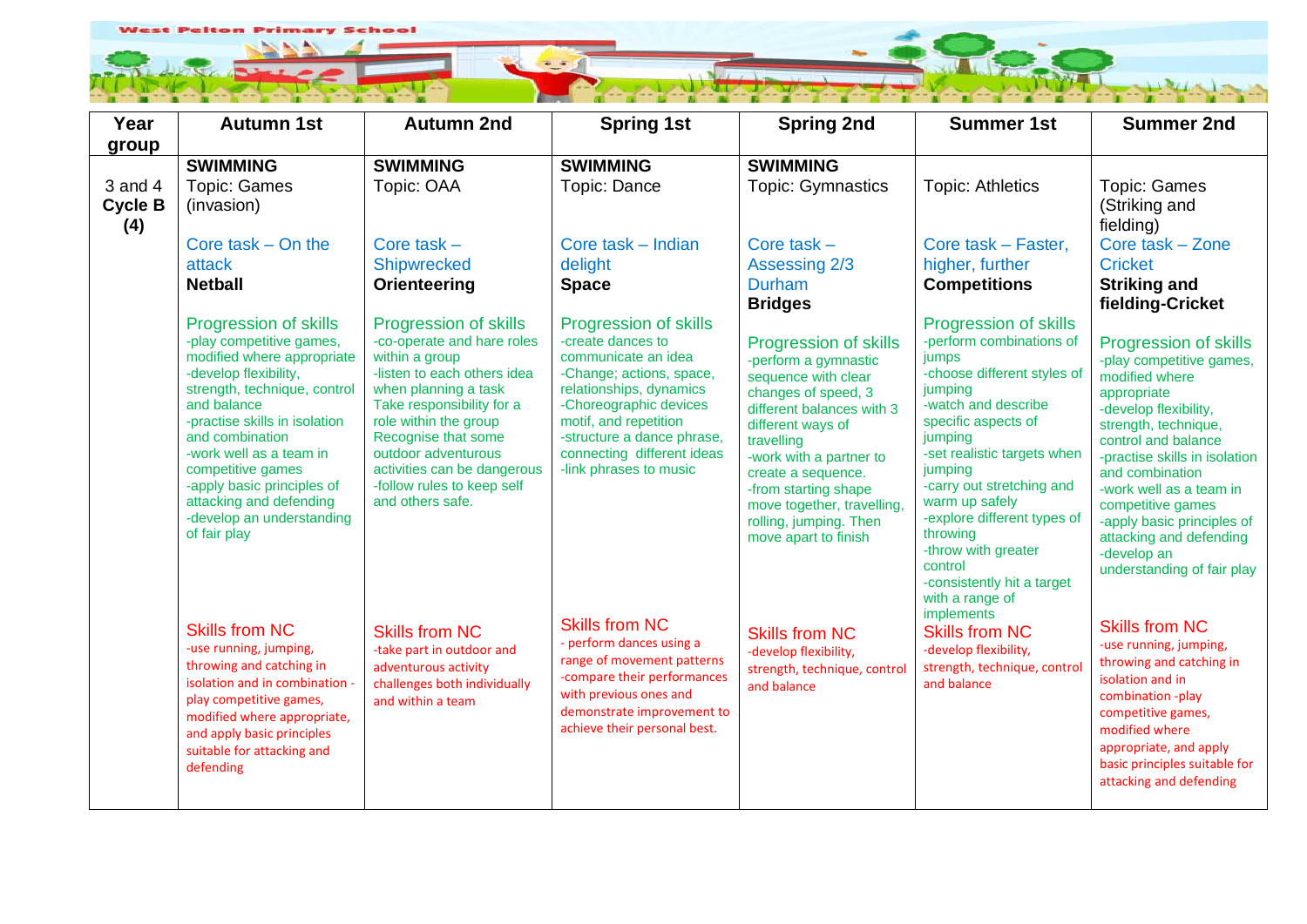

| Year                                 | <b>Autumn 1st</b>                                                                                                                                                                                                                                                                                                                                                 | <b>Autumn 2nd</b>                                                                                                                                                                                                                                                                                                 | <b>Spring 1st</b>                                                                                                                                                                                                                                                 | <b>Spring 2nd</b>                                                                                                                                                                                                                                                                                                           | <b>Summer 1st</b>                                                                                                                                                                                                                                                                                                                                                                           | <b>Summer 2nd</b>                                                                                                                                                                                                                                                                                                                                                           |
|--------------------------------------|-------------------------------------------------------------------------------------------------------------------------------------------------------------------------------------------------------------------------------------------------------------------------------------------------------------------------------------------------------------------|-------------------------------------------------------------------------------------------------------------------------------------------------------------------------------------------------------------------------------------------------------------------------------------------------------------------|-------------------------------------------------------------------------------------------------------------------------------------------------------------------------------------------------------------------------------------------------------------------|-----------------------------------------------------------------------------------------------------------------------------------------------------------------------------------------------------------------------------------------------------------------------------------------------------------------------------|---------------------------------------------------------------------------------------------------------------------------------------------------------------------------------------------------------------------------------------------------------------------------------------------------------------------------------------------------------------------------------------------|-----------------------------------------------------------------------------------------------------------------------------------------------------------------------------------------------------------------------------------------------------------------------------------------------------------------------------------------------------------------------------|
| group                                |                                                                                                                                                                                                                                                                                                                                                                   |                                                                                                                                                                                                                                                                                                                   |                                                                                                                                                                                                                                                                   |                                                                                                                                                                                                                                                                                                                             |                                                                                                                                                                                                                                                                                                                                                                                             |                                                                                                                                                                                                                                                                                                                                                                             |
|                                      | <b>SWIMMING</b>                                                                                                                                                                                                                                                                                                                                                   | <b>SWIMMING</b>                                                                                                                                                                                                                                                                                                   | <b>SWIMMING</b>                                                                                                                                                                                                                                                   | <b>SWIMMING</b>                                                                                                                                                                                                                                                                                                             |                                                                                                                                                                                                                                                                                                                                                                                             |                                                                                                                                                                                                                                                                                                                                                                             |
| $3$ and $4$<br><b>Cycle B</b><br>(4) | <b>Topic: Games</b><br>(invasion)                                                                                                                                                                                                                                                                                                                                 | Topic: OAA                                                                                                                                                                                                                                                                                                        | Topic: Dance                                                                                                                                                                                                                                                      | <b>Topic: Gymnastics</b>                                                                                                                                                                                                                                                                                                    | <b>Topic: Athletics</b>                                                                                                                                                                                                                                                                                                                                                                     | <b>Topic: Games</b><br>(Striking and<br>fielding)                                                                                                                                                                                                                                                                                                                           |
|                                      | Core task $-$ On the<br>attack<br><b>Netball</b>                                                                                                                                                                                                                                                                                                                  | Core task $-$<br>Shipwrecked<br>Orienteering                                                                                                                                                                                                                                                                      | Core task - Indian<br>delight<br><b>Space</b>                                                                                                                                                                                                                     | Core task $-$<br>Assessing 2/3<br><b>Durham</b><br><b>Bridges</b>                                                                                                                                                                                                                                                           | Core task - Faster,<br>higher, further<br><b>Competitions</b>                                                                                                                                                                                                                                                                                                                               | Core task - Zone<br><b>Cricket</b><br><b>Striking and</b><br>fielding-Cricket                                                                                                                                                                                                                                                                                               |
|                                      | Progression of skills<br>-play competitive games,<br>modified where appropriate<br>-develop flexibility,<br>strength, technique, control<br>and balance<br>-practise skills in isolation<br>and combination<br>-work well as a team in<br>competitive games<br>-apply basic principles of<br>attacking and defending<br>-develop an understanding<br>of fair play | Progression of skills<br>-co-operate and hare roles<br>within a group<br>-listen to each others idea<br>when planning a task<br>Take responsibility for a<br>role within the group<br>Recognise that some<br>outdoor adventurous<br>activities can be dangerous<br>-follow rules to keep self<br>and others safe. | Progression of skills<br>-create dances to<br>communicate an idea<br>-Change; actions, space,<br>relationships, dynamics<br>-Choreographic devices<br>motif, and repetition<br>-structure a dance phrase,<br>connecting different ideas<br>-link phrases to music | <b>Progression of skills</b><br>-perform a gymnastic<br>sequence with clear<br>changes of speed, 3<br>different balances with 3<br>different ways of<br>travelling<br>-work with a partner to<br>create a sequence.<br>-from starting shape<br>move together, travelling,<br>rolling, jumping. Then<br>move apart to finish | <b>Progression of skills</b><br>-perform combinations of<br>jumps<br>-choose different styles of<br>jumping<br>-watch and describe<br>specific aspects of<br>jumping<br>-set realistic targets when<br>jumping<br>-carry out stretching and<br>warm up safely<br>-explore different types of<br>throwing<br>-throw with greater<br>control<br>-consistently hit a target<br>with a range of | <b>Progression of skills</b><br>-play competitive games,<br>modified where<br>appropriate<br>-develop flexibility,<br>strength, technique,<br>control and balance<br>-practise skills in isolation<br>and combination<br>-work well as a team in<br>competitive games<br>-apply basic principles of<br>attacking and defending<br>-develop an<br>understanding of fair play |
|                                      | <b>Skills from NC</b><br>-use running, jumping,<br>throwing and catching in<br>isolation and in combination -<br>play competitive games,<br>modified where appropriate,<br>and apply basic principles<br>suitable for attacking and<br>defending                                                                                                                  | <b>Skills from NC</b><br>-take part in outdoor and<br>adventurous activity<br>challenges both individually<br>and within a team                                                                                                                                                                                   | <b>Skills from NC</b><br>- perform dances using a<br>range of movement patterns<br>-compare their performances<br>with previous ones and<br>demonstrate improvement to<br>achieve their personal best.                                                            | <b>Skills from NC</b><br>-develop flexibility,<br>strength, technique, control<br>and balance                                                                                                                                                                                                                               | implements<br><b>Skills from NC</b><br>-develop flexibility,<br>strength, technique, control<br>and balance                                                                                                                                                                                                                                                                                 | <b>Skills from NC</b><br>-use running, jumping,<br>throwing and catching in<br>isolation and in<br>combination -play<br>competitive games,<br>modified where<br>appropriate, and apply<br>basic principles suitable for<br>attacking and defending                                                                                                                          |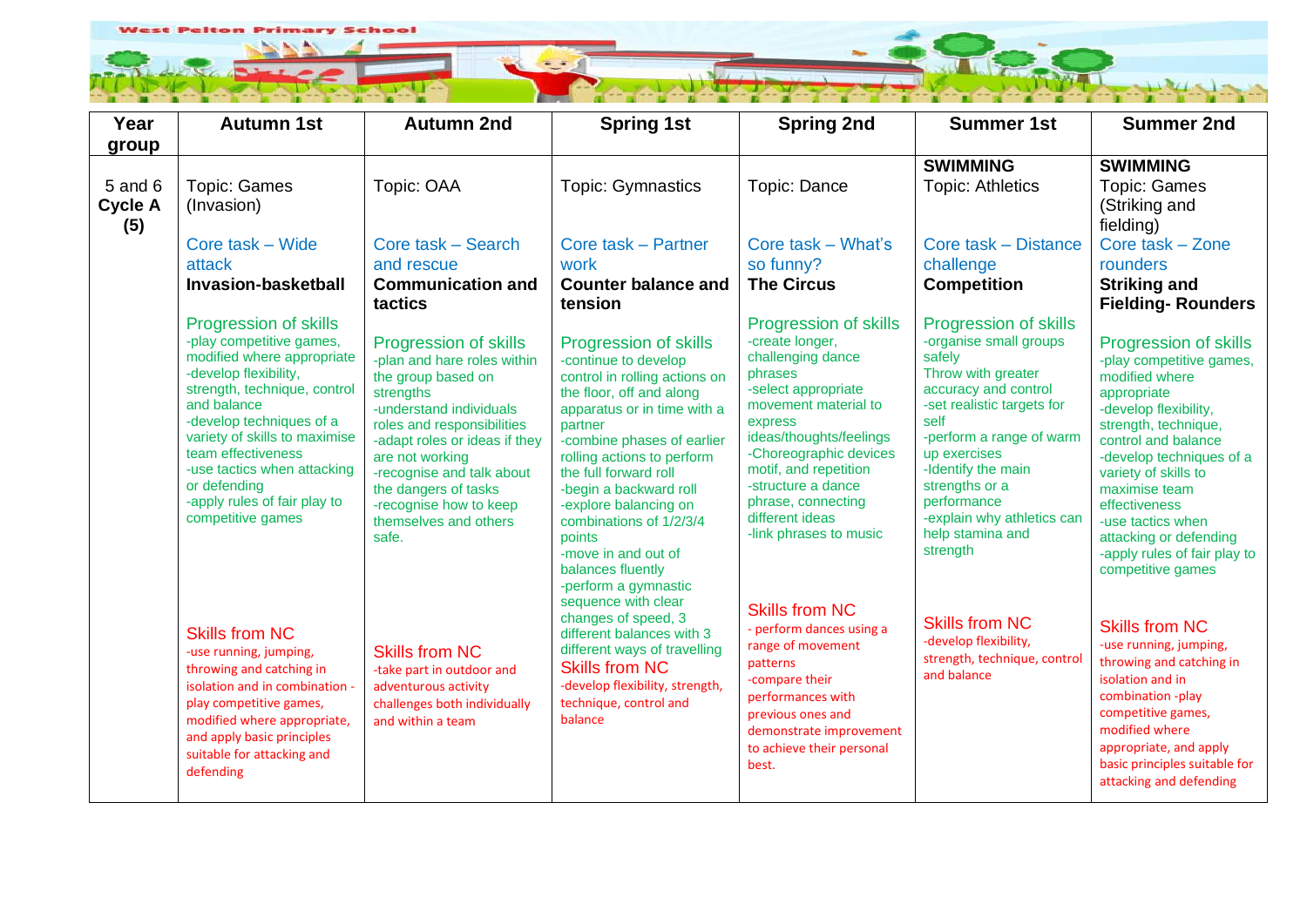

| Year<br>group                    | <b>Autumn 1st</b>                                                                                                                                                                                                                                                                                                                                     | <b>Autumn 2nd</b>                                                                                                                                                                                                                                                                                                     | <b>Spring 1st</b>                                                                                                                                                                                                                                                                                                                                                                                     | <b>Spring 2nd</b>                                                                                                                                                                                                                                                                                                | <b>Summer 1st</b>                                                                                                                                                                                                                                                                                              | <b>Summer 2nd</b>                                                                                                                                                                                                                                                                                                                                    |
|----------------------------------|-------------------------------------------------------------------------------------------------------------------------------------------------------------------------------------------------------------------------------------------------------------------------------------------------------------------------------------------------------|-----------------------------------------------------------------------------------------------------------------------------------------------------------------------------------------------------------------------------------------------------------------------------------------------------------------------|-------------------------------------------------------------------------------------------------------------------------------------------------------------------------------------------------------------------------------------------------------------------------------------------------------------------------------------------------------------------------------------------------------|------------------------------------------------------------------------------------------------------------------------------------------------------------------------------------------------------------------------------------------------------------------------------------------------------------------|----------------------------------------------------------------------------------------------------------------------------------------------------------------------------------------------------------------------------------------------------------------------------------------------------------------|------------------------------------------------------------------------------------------------------------------------------------------------------------------------------------------------------------------------------------------------------------------------------------------------------------------------------------------------------|
| 5 and 6<br><b>Cycle A</b><br>(5) | <b>Topic: Games</b><br>(Invasion)                                                                                                                                                                                                                                                                                                                     | Topic: OAA                                                                                                                                                                                                                                                                                                            | <b>Topic: Gymnastics</b>                                                                                                                                                                                                                                                                                                                                                                              | Topic: Dance                                                                                                                                                                                                                                                                                                     | <b>SWIMMING</b><br><b>Topic: Athletics</b>                                                                                                                                                                                                                                                                     | <b>SWIMMING</b><br><b>Topic: Games</b><br>(Striking and<br>fielding)                                                                                                                                                                                                                                                                                 |
|                                  | Core task – Wide<br>attack<br>Invasion-basketball                                                                                                                                                                                                                                                                                                     | Core task - Search<br>and rescue<br><b>Communication and</b><br>tactics                                                                                                                                                                                                                                               | Core task - Partner<br>work<br><b>Counter balance and</b><br>tension                                                                                                                                                                                                                                                                                                                                  | Core task - What's<br>so funny?<br><b>The Circus</b>                                                                                                                                                                                                                                                             | Core task - Distance<br>challenge<br><b>Competition</b>                                                                                                                                                                                                                                                        | Core task - Zone<br>rounders<br><b>Striking and</b><br><b>Fielding-Rounders</b>                                                                                                                                                                                                                                                                      |
|                                  | <b>Progression of skills</b><br>-play competitive games,<br>modified where appropriate<br>-develop flexibility,<br>strength, technique, control<br>and balance<br>-develop techniques of a<br>variety of skills to maximise<br>team effectiveness<br>-use tactics when attacking<br>or defending<br>-apply rules of fair play to<br>competitive games | Progression of skills<br>-plan and hare roles within<br>the group based on<br>strengths<br>-understand individuals<br>roles and responsibilities<br>-adapt roles or ideas if they<br>are not working<br>-recognise and talk about<br>the dangers of tasks<br>-recognise how to keep<br>themselves and others<br>safe. | Progression of skills<br>-continue to develop<br>control in rolling actions on<br>the floor, off and along<br>apparatus or in time with a<br>partner<br>-combine phases of earlier<br>rolling actions to perform<br>the full forward roll<br>-begin a backward roll<br>-explore balancing on<br>combinations of 1/2/3/4<br>points<br>-move in and out of<br>balances fluently<br>-perform a gymnastic | <b>Progression of skills</b><br>-create longer,<br>challenging dance<br>phrases<br>-select appropriate<br>movement material to<br>express<br>ideas/thoughts/feelings<br>-Choreographic devices<br>motif, and repetition<br>-structure a dance<br>phrase, connecting<br>different ideas<br>-link phrases to music | Progression of skills<br>-organise small groups<br>safely<br>Throw with greater<br>accuracy and control<br>-set realistic targets for<br>self<br>-perform a range of warm<br>up exercises<br>-Identify the main<br>strengths or a<br>performance<br>-explain why athletics can<br>help stamina and<br>strength | Progression of skills<br>-play competitive games,<br>modified where<br>appropriate<br>-develop flexibility,<br>strength, technique,<br>control and balance<br>-develop techniques of a<br>variety of skills to<br>maximise team<br>effectiveness<br>-use tactics when<br>attacking or defending<br>-apply rules of fair play to<br>competitive games |
|                                  | <b>Skills from NC</b><br>-use running, jumping,<br>throwing and catching in<br>isolation and in combination -<br>play competitive games,<br>modified where appropriate,<br>and apply basic principles<br>suitable for attacking and<br>defending                                                                                                      | <b>Skills from NC</b><br>-take part in outdoor and<br>adventurous activity<br>challenges both individually<br>and within a team                                                                                                                                                                                       | sequence with clear<br>changes of speed, 3<br>different balances with 3<br>different ways of travelling<br><b>Skills from NC</b><br>-develop flexibility, strength,<br>technique, control and<br>balance                                                                                                                                                                                              | <b>Skills from NC</b><br>- perform dances using a<br>range of movement<br>patterns<br>-compare their<br>performances with<br>previous ones and<br>demonstrate improvement<br>to achieve their personal<br>best.                                                                                                  | <b>Skills from NC</b><br>-develop flexibility,<br>strength, technique, control<br>and balance                                                                                                                                                                                                                  | <b>Skills from NC</b><br>-use running, jumping,<br>throwing and catching in<br>isolation and in<br>combination -play<br>competitive games,<br>modified where<br>appropriate, and apply<br>basic principles suitable for<br>attacking and defending                                                                                                   |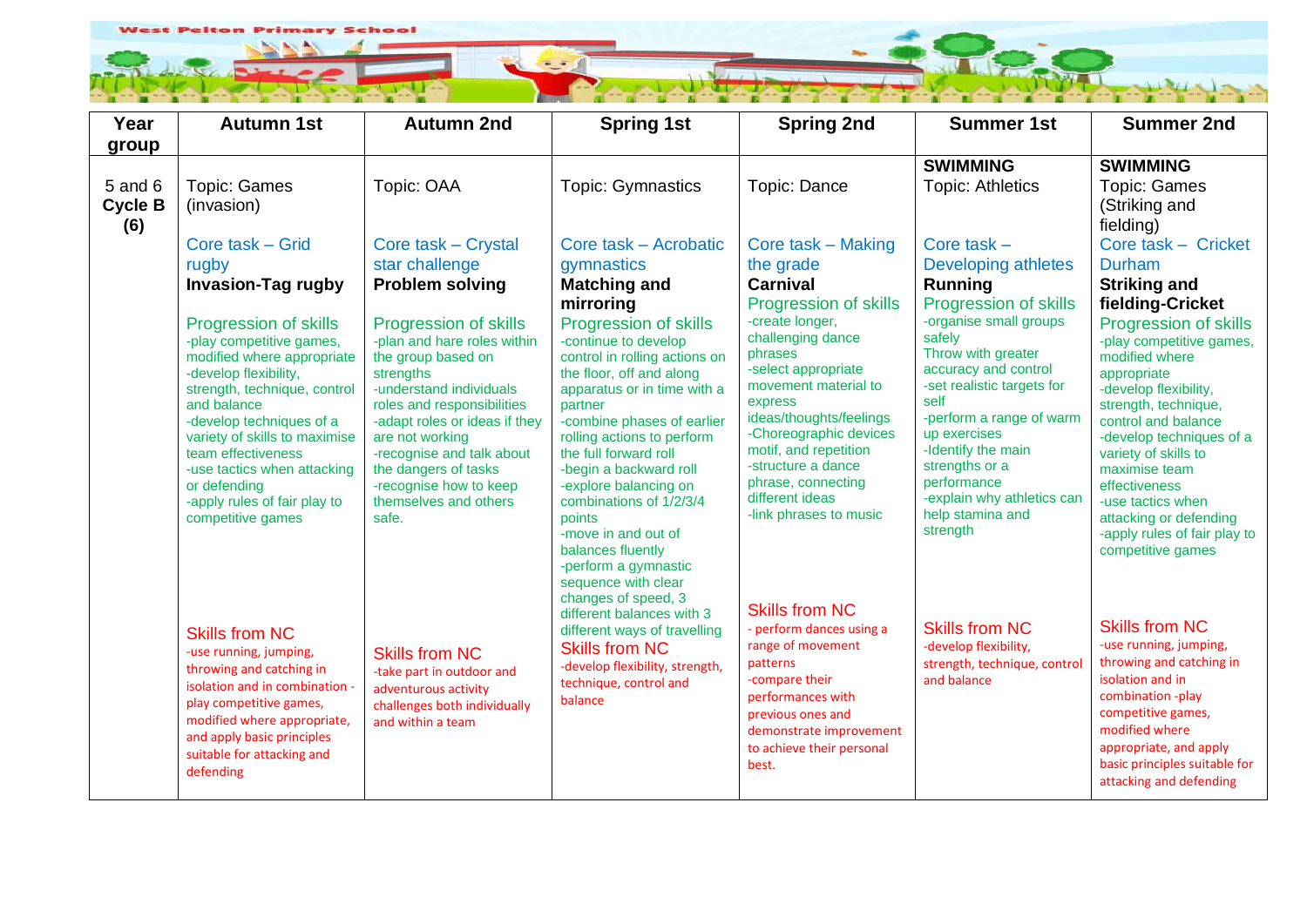

| Year           | <b>Autumn 1st</b>                                        | <b>Autumn 2nd</b>                                           | <b>Spring 1st</b>                                         | <b>Spring 2nd</b>                           | <b>Summer 1st</b>                                      | <b>Summer 2nd</b>                                 |
|----------------|----------------------------------------------------------|-------------------------------------------------------------|-----------------------------------------------------------|---------------------------------------------|--------------------------------------------------------|---------------------------------------------------|
| group          |                                                          |                                                             |                                                           |                                             |                                                        |                                                   |
|                |                                                          |                                                             |                                                           |                                             | <b>SWIMMING</b>                                        | <b>SWIMMING</b>                                   |
| 5 and 6        | <b>Topic: Games</b>                                      | Topic: OAA                                                  | <b>Topic: Gymnastics</b>                                  | Topic: Dance                                | <b>Topic: Athletics</b>                                | <b>Topic: Games</b>                               |
| <b>Cycle B</b> | (invasion)                                               |                                                             |                                                           |                                             |                                                        | (Striking and                                     |
| (6)            |                                                          |                                                             |                                                           |                                             |                                                        | fielding)                                         |
|                | Core task - Grid                                         | Core task – Crystal                                         | Core task - Acrobatic                                     | Core task - Making                          | Core task $-$                                          | Core task - Cricket                               |
|                | rugby                                                    | star challenge                                              | gymnastics                                                | the grade                                   | Developing athletes                                    | <b>Durham</b>                                     |
|                | <b>Invasion-Tag rugby</b>                                | <b>Problem solving</b>                                      | <b>Matching and</b>                                       | <b>Carnival</b>                             | Running                                                | <b>Striking and</b>                               |
|                |                                                          |                                                             | mirroring                                                 | Progression of skills<br>-create longer,    | <b>Progression of skills</b><br>-organise small groups | fielding-Cricket                                  |
|                | <b>Progression of skills</b><br>-play competitive games, | <b>Progression of skills</b><br>-plan and hare roles within | Progression of skills<br>-continue to develop             | challenging dance                           | safely                                                 | Progression of skills<br>-play competitive games, |
|                | modified where appropriate                               | the group based on                                          | control in rolling actions on                             | phrases                                     | Throw with greater                                     | modified where                                    |
|                | -develop flexibility,                                    | strengths                                                   | the floor, off and along                                  | -select appropriate<br>movement material to | accuracy and control<br>-set realistic targets for     | appropriate                                       |
|                | strength, technique, control<br>and balance              | -understand individuals<br>roles and responsibilities       | apparatus or in time with a<br>partner                    | express                                     | self                                                   | -develop flexibility,<br>strength, technique,     |
|                | -develop techniques of a                                 | -adapt roles or ideas if they                               | -combine phases of earlier                                | ideas/thoughts/feelings                     | -perform a range of warm                               | control and balance                               |
|                | variety of skills to maximise                            | are not working                                             | rolling actions to perform                                | -Choreographic devices                      | up exercises                                           | -develop techniques of a                          |
|                | team effectiveness<br>-use tactics when attacking        | -recognise and talk about<br>the dangers of tasks           | the full forward roll<br>-begin a backward roll           | motif, and repetition<br>-structure a dance | -Identify the main<br>strengths or a                   | variety of skills to<br>maximise team             |
|                | or defending                                             | -recognise how to keep                                      | -explore balancing on                                     | phrase, connecting                          | performance                                            | effectiveness                                     |
|                | -apply rules of fair play to                             | themselves and others                                       | combinations of 1/2/3/4                                   | different ideas                             | -explain why athletics can                             | -use tactics when                                 |
|                | competitive games                                        | safe.                                                       | points                                                    | -link phrases to music                      | help stamina and<br>strength                           | attacking or defending                            |
|                |                                                          |                                                             | -move in and out of<br>balances fluently                  |                                             |                                                        | -apply rules of fair play to<br>competitive games |
|                |                                                          |                                                             | -perform a gymnastic                                      |                                             |                                                        |                                                   |
|                |                                                          |                                                             | sequence with clear                                       |                                             |                                                        |                                                   |
|                |                                                          |                                                             | changes of speed, 3                                       | <b>Skills from NC</b>                       |                                                        |                                                   |
|                |                                                          |                                                             | different balances with 3<br>different ways of travelling | - perform dances using a                    | <b>Skills from NC</b>                                  | <b>Skills from NC</b>                             |
|                | <b>Skills from NC</b><br>-use running, jumping,          | <b>Skills from NC</b>                                       | <b>Skills from NC</b>                                     | range of movement                           | -develop flexibility,                                  | -use running, jumping,                            |
|                | throwing and catching in                                 | -take part in outdoor and                                   | -develop flexibility, strength,                           | patterns                                    | strength, technique, control                           | throwing and catching in                          |
|                | isolation and in combination -                           | adventurous activity                                        | technique, control and                                    | -compare their                              | and balance                                            | isolation and in                                  |
|                | play competitive games,                                  | challenges both individually                                | balance                                                   | performances with<br>previous ones and      |                                                        | combination -play<br>competitive games,           |
|                | modified where appropriate,                              | and within a team                                           |                                                           | demonstrate improvement                     |                                                        | modified where                                    |
|                | and apply basic principles<br>suitable for attacking and |                                                             |                                                           | to achieve their personal                   |                                                        | appropriate, and apply                            |
|                | defending                                                |                                                             |                                                           | best.                                       |                                                        | basic principles suitable for                     |
|                |                                                          |                                                             |                                                           |                                             |                                                        | attacking and defending                           |